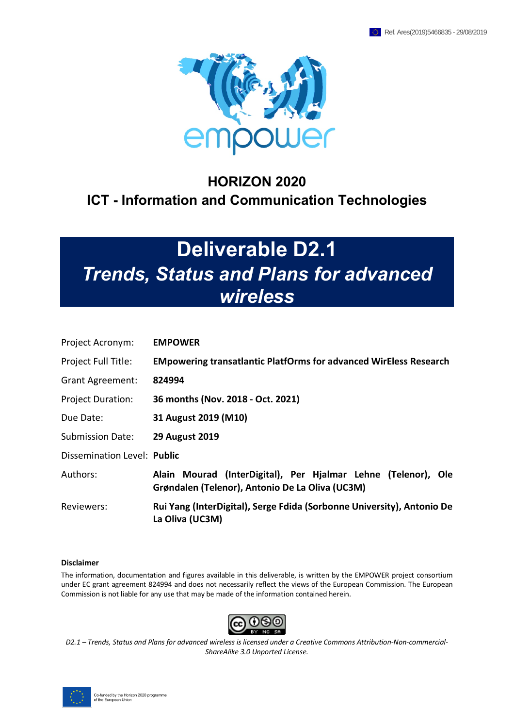

## **HORIZON 2020 ICT - Information and Communication Technologies**

# **Deliverable D2.1** *Trends, Status and Plans for advanced wireless*

| Project Acronym:            | <b>EMPOWER</b>                                                                                                   |  |  |
|-----------------------------|------------------------------------------------------------------------------------------------------------------|--|--|
| Project Full Title:         | <b>EMpowering transatlantic PlatfOrms for advanced WirEless Research</b>                                         |  |  |
| <b>Grant Agreement:</b>     | 824994                                                                                                           |  |  |
| <b>Project Duration:</b>    | 36 months (Nov. 2018 - Oct. 2021)                                                                                |  |  |
| Due Date:                   | 31 August 2019 (M10)                                                                                             |  |  |
| <b>Submission Date:</b>     | <b>29 August 2019</b>                                                                                            |  |  |
| Dissemination Level: Public |                                                                                                                  |  |  |
| Authors:                    | Alain Mourad (InterDigital), Per Hjalmar Lehne (Telenor), Ole<br>Grøndalen (Telenor), Antonio De La Oliva (UC3M) |  |  |
| Reviewers:                  | Rui Yang (InterDigital), Serge Fdida (Sorbonne University), Antonio De<br>La Oliva (UC3M)                        |  |  |

#### **Disclaimer**

The information, documentation and figures available in this deliverable, is written by the EMPOWER project consortium under EC grant agreement 824994 and does not necessarily reflect the views of the European Commission. The European Commission is not liable for any use that may be made of the information contained herein.



*D2.1 – Trends, Status and Plans for advanced wireless is licensed under a Creative Commons Attribution-Non-commercial-ShareAlike 3.0 Unported License.*

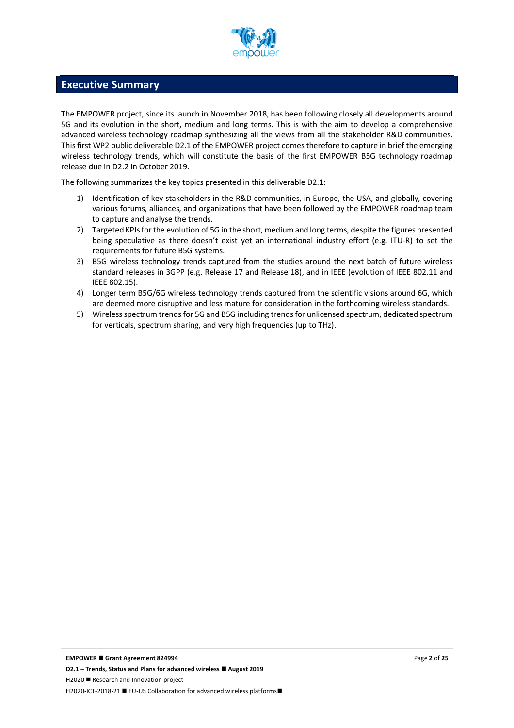

### **Executive Summary**

The EMPOWER project, since its launch in November 2018, has been following closely all developments around 5G and its evolution in the short, medium and long terms. This is with the aim to develop a comprehensive advanced wireless technology roadmap synthesizing all the views from all the stakeholder R&D communities. This first WP2 public deliverable D2.1 of the EMPOWER project comes therefore to capture in brief the emerging wireless technology trends, which will constitute the basis of the first EMPOWER B5G technology roadmap release due in D2.2 in October 2019.

The following summarizes the key topics presented in this deliverable D2.1:

- 1) Identification of key stakeholders in the R&D communities, in Europe, the USA, and globally, covering various forums, alliances, and organizations that have been followed by the EMPOWER roadmap team to capture and analyse the trends.
- 2) Targeted KPIs for the evolution of 5G in the short, medium and long terms, despite the figures presented being speculative as there doesn't exist yet an international industry effort (e.g. ITU-R) to set the requirements for future B5G systems.
- 3) B5G wireless technology trends captured from the studies around the next batch of future wireless standard releases in 3GPP (e.g. Release 17 and Release 18), and in IEEE (evolution of IEEE 802.11 and IEEE 802.15).
- 4) Longer term B5G/6G wireless technology trends captured from the scientific visions around 6G, which are deemed more disruptive and less mature for consideration in the forthcoming wireless standards.
- 5) Wireless spectrum trends for 5G and B5G including trends for unlicensed spectrum, dedicated spectrum for verticals, spectrum sharing, and very high frequencies (up to THz).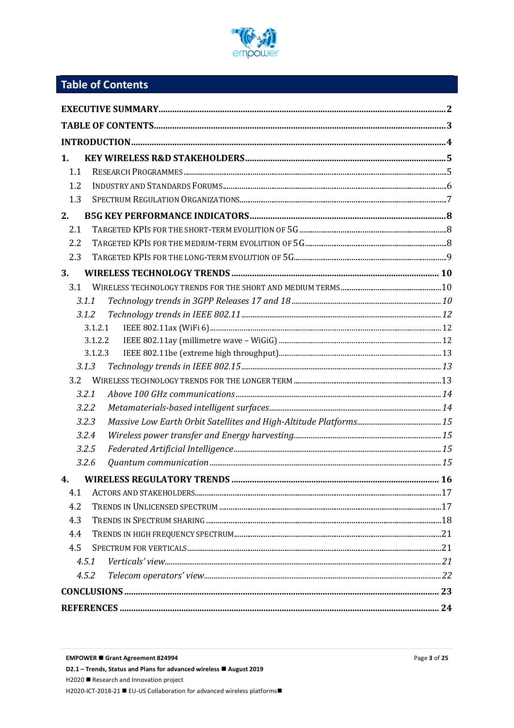

## Table of Contents

| 1.  |         |  |
|-----|---------|--|
| 1.1 |         |  |
| 1.2 |         |  |
| 1.3 |         |  |
| 2.  |         |  |
| 2.1 |         |  |
| 2.2 |         |  |
| 2.3 |         |  |
| 3.  |         |  |
| 3.1 |         |  |
|     | 3.1.1   |  |
|     | 3.1.2   |  |
|     | 3.1.2.1 |  |
|     | 3.1.2.2 |  |
|     | 3.1.2.3 |  |
|     | 3.1.3   |  |
| 3.2 |         |  |
|     | 3.2.1   |  |
|     | 3.2.2   |  |
|     | 3.2.3   |  |
|     | 3.2.4   |  |
|     | 3.2.5   |  |
|     | 3.2.6   |  |
| 4.  |         |  |
| 4.1 |         |  |
| 4.2 |         |  |
| 4.3 |         |  |
| 4.4 |         |  |
| 4.5 |         |  |
|     | 4.5.1   |  |
|     | 4.5.2   |  |
|     |         |  |
|     |         |  |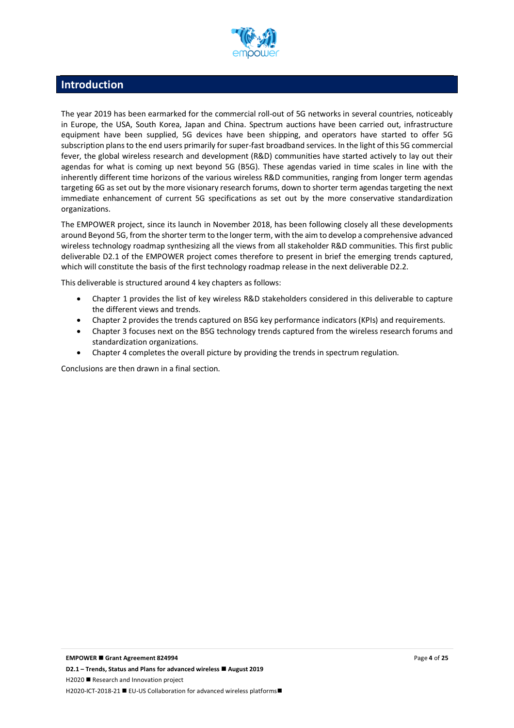

## **Introduction**

The year 2019 has been earmarked for the commercial roll-out of 5G networks in several countries, noticeably in Europe, the USA, South Korea, Japan and China. Spectrum auctions have been carried out, infrastructure equipment have been supplied, 5G devices have been shipping, and operators have started to offer 5G subscription plans to the end users primarily for super-fast broadband services. In the light of this 5G commercial fever, the global wireless research and development (R&D) communities have started actively to lay out their agendas for what is coming up next beyond 5G (B5G). These agendas varied in time scales in line with the inherently different time horizons of the various wireless R&D communities, ranging from longer term agendas targeting 6G as set out by the more visionary research forums, down to shorter term agendas targeting the next immediate enhancement of current 5G specifications as set out by the more conservative standardization organizations.

The EMPOWER project, since its launch in November 2018, has been following closely all these developments around Beyond 5G, from the shorter term to the longer term, with the aim to develop a comprehensive advanced wireless technology roadmap synthesizing all the views from all stakeholder R&D communities. This first public deliverable D2.1 of the EMPOWER project comes therefore to present in brief the emerging trends captured, which will constitute the basis of the first technology roadmap release in the next deliverable D2.2.

This deliverable is structured around 4 key chapters as follows:

- Chapter 1 provides the list of key wireless R&D stakeholders considered in this deliverable to capture the different views and trends.
- Chapter 2 provides the trends captured on B5G key performance indicators (KPIs) and requirements.
- Chapter 3 focuses next on the B5G technology trends captured from the wireless research forums and standardization organizations.
- Chapter 4 completes the overall picture by providing the trends in spectrum regulation.

Conclusions are then drawn in a final section.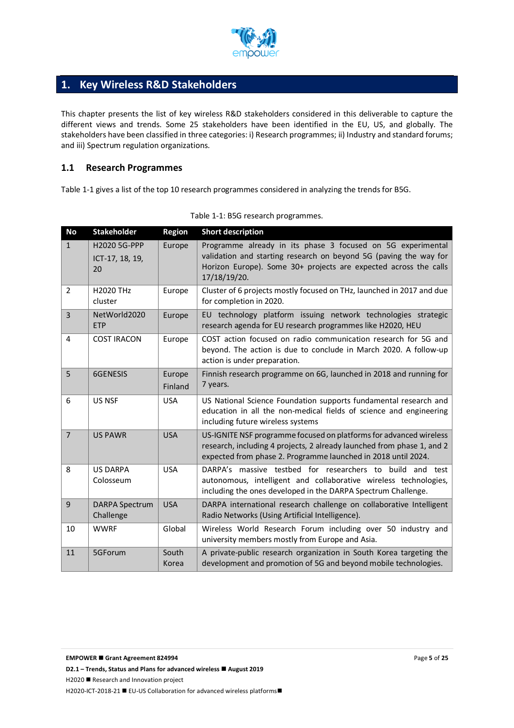

## **1. Key Wireless R&D Stakeholders**

This chapter presents the list of key wireless R&D stakeholders considered in this deliverable to capture the different views and trends. Some 25 stakeholders have been identified in the EU, US, and globally. The stakeholders have been classified in three categories: i) Research programmes; ii) Industry and standard forums; and iii) Spectrum regulation organizations.

#### **1.1 Research Programmes**

Table 1-1 gives a list of the top 10 research programmes considered in analyzing the trends for B5G.

| <b>No</b>      | <b>Stakeholder</b>                    | <b>Region</b>     | <b>Short description</b>                                                                                                                                                                                             |
|----------------|---------------------------------------|-------------------|----------------------------------------------------------------------------------------------------------------------------------------------------------------------------------------------------------------------|
| $\mathbf{1}$   | H2020 5G-PPP<br>ICT-17, 18, 19,<br>20 | Europe            | Programme already in its phase 3 focused on 5G experimental<br>validation and starting research on beyond 5G (paving the way for<br>Horizon Europe). Some 30+ projects are expected across the calls<br>17/18/19/20. |
| $\overline{2}$ | <b>H2020 THz</b><br>cluster           | Europe            | Cluster of 6 projects mostly focused on THz, launched in 2017 and due<br>for completion in 2020.                                                                                                                     |
| $\overline{3}$ | NetWorld2020<br><b>ETP</b>            | Europe            | EU technology platform issuing network technologies strategic<br>research agenda for EU research programmes like H2020, HEU                                                                                          |
| 4              | <b>COST IRACON</b>                    | Europe            | COST action focused on radio communication research for 5G and<br>beyond. The action is due to conclude in March 2020. A follow-up<br>action is under preparation.                                                   |
| 5              | 6GENESIS                              | Europe<br>Finland | Finnish research programme on 6G, launched in 2018 and running for<br>7 years.                                                                                                                                       |
| 6              | <b>US NSF</b>                         | <b>USA</b>        | US National Science Foundation supports fundamental research and<br>education in all the non-medical fields of science and engineering<br>including future wireless systems                                          |
| $\overline{7}$ | <b>US PAWR</b>                        | <b>USA</b>        | US-IGNITE NSF programme focused on platforms for advanced wireless<br>research, including 4 projects, 2 already launched from phase 1, and 2<br>expected from phase 2. Programme launched in 2018 until 2024.        |
| 8              | <b>US DARPA</b><br>Colosseum          | <b>USA</b>        | DARPA's massive testbed for researchers to build and test<br>autonomous, intelligent and collaborative wireless technologies,<br>including the ones developed in the DARPA Spectrum Challenge.                       |
| 9              | <b>DARPA Spectrum</b><br>Challenge    | <b>USA</b>        | DARPA international research challenge on collaborative Intelligent<br>Radio Networks (Using Artificial Intelligence).                                                                                               |
| 10             | <b>WWRF</b>                           | Global            | Wireless World Research Forum including over 50 industry and<br>university members mostly from Europe and Asia.                                                                                                      |
| 11             | 5GForum                               | South<br>Korea    | A private-public research organization in South Korea targeting the<br>development and promotion of 5G and beyond mobile technologies.                                                                               |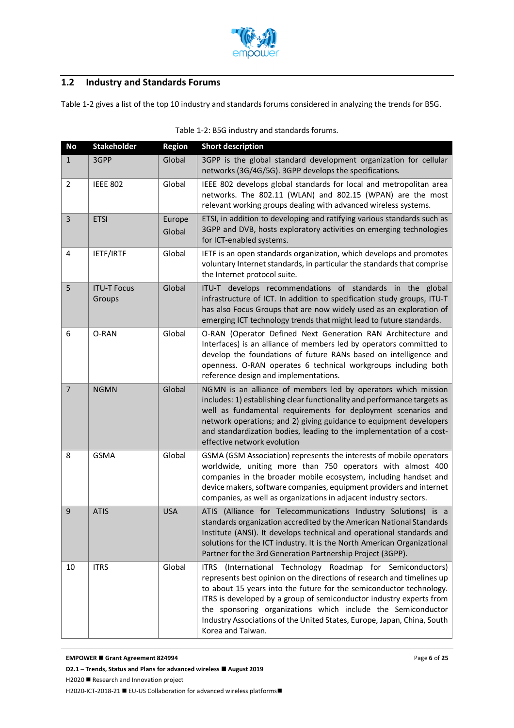

## **1.2 Industry and Standards Forums**

Table 1-2 gives a list of the top 10 industry and standards forums considered in analyzing the trends for B5G.

| <b>No</b>      | <b>Stakeholder</b>           | <b>Region</b>    | <b>Short description</b>                                                                                                                                                                                                                                                                                                                                                                                                                              |
|----------------|------------------------------|------------------|-------------------------------------------------------------------------------------------------------------------------------------------------------------------------------------------------------------------------------------------------------------------------------------------------------------------------------------------------------------------------------------------------------------------------------------------------------|
| $\mathbf{1}$   | 3GPP                         | Global           | 3GPP is the global standard development organization for cellular<br>networks (3G/4G/5G). 3GPP develops the specifications.                                                                                                                                                                                                                                                                                                                           |
| $\overline{2}$ | <b>IEEE 802</b>              | Global           | IEEE 802 develops global standards for local and metropolitan area<br>networks. The 802.11 (WLAN) and 802.15 (WPAN) are the most<br>relevant working groups dealing with advanced wireless systems.                                                                                                                                                                                                                                                   |
| $\overline{3}$ | <b>ETSI</b>                  | Europe<br>Global | ETSI, in addition to developing and ratifying various standards such as<br>3GPP and DVB, hosts exploratory activities on emerging technologies<br>for ICT-enabled systems.                                                                                                                                                                                                                                                                            |
| $\overline{4}$ | IETF/IRTF                    | Global           | IETF is an open standards organization, which develops and promotes<br>voluntary Internet standards, in particular the standards that comprise<br>the Internet protocol suite.                                                                                                                                                                                                                                                                        |
| 5              | <b>ITU-T Focus</b><br>Groups | Global           | ITU-T develops recommendations of standards in the global<br>infrastructure of ICT. In addition to specification study groups, ITU-T<br>has also Focus Groups that are now widely used as an exploration of<br>emerging ICT technology trends that might lead to future standards.                                                                                                                                                                    |
| 6              | O-RAN                        | Global           | O-RAN (Operator Defined Next Generation RAN Architecture and<br>Interfaces) is an alliance of members led by operators committed to<br>develop the foundations of future RANs based on intelligence and<br>openness. O-RAN operates 6 technical workgroups including both<br>reference design and implementations.                                                                                                                                    |
| $\overline{7}$ | <b>NGMN</b>                  | Global           | NGMN is an alliance of members led by operators which mission<br>includes: 1) establishing clear functionality and performance targets as<br>well as fundamental requirements for deployment scenarios and<br>network operations; and 2) giving guidance to equipment developers<br>and standardization bodies, leading to the implementation of a cost-<br>effective network evolution                                                               |
| 8              | <b>GSMA</b>                  | Global           | GSMA (GSM Association) represents the interests of mobile operators<br>worldwide, uniting more than 750 operators with almost 400<br>companies in the broader mobile ecosystem, including handset and<br>device makers, software companies, equipment providers and internet<br>companies, as well as organizations in adjacent industry sectors.                                                                                                     |
| 9              | <b>ATIS</b>                  | <b>USA</b>       | ATIS (Alliance for Telecommunications Industry Solutions) is a<br>standards organization accredited by the American National Standards<br>Institute (ANSI). It develops technical and operational standards and<br>solutions for the ICT industry. It is the North American Organizational<br>Partner for the 3rd Generation Partnership Project (3GPP).                                                                                              |
| 10             | <b>ITRS</b>                  | Global           | (International Technology Roadmap for Semiconductors)<br>ITRS<br>represents best opinion on the directions of research and timelines up<br>to about 15 years into the future for the semiconductor technology.<br>ITRS is developed by a group of semiconductor industry experts from<br>the sponsoring organizations which include the Semiconductor<br>Industry Associations of the United States, Europe, Japan, China, South<br>Korea and Taiwan. |

| Table 1-2: B5G industry and standards forums. |  |  |  |  |
|-----------------------------------------------|--|--|--|--|
|-----------------------------------------------|--|--|--|--|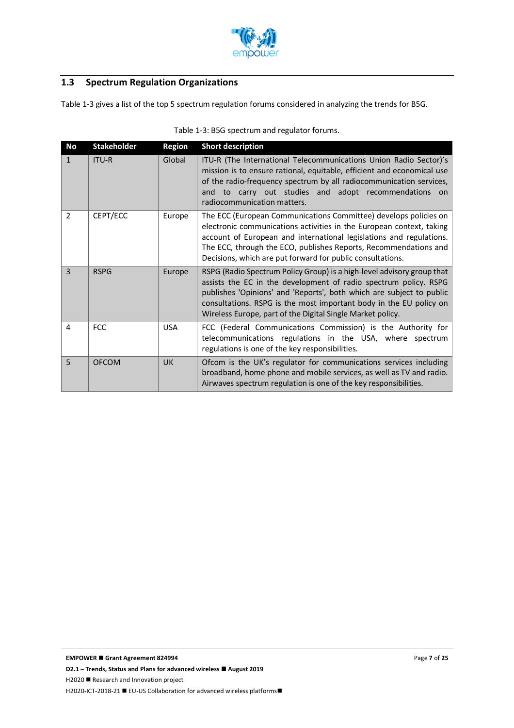

## **1.3 Spectrum Regulation Organizations**

Table 1-3 gives a list of the top 5 spectrum regulation forums considered in analyzing the trends for B5G.

| No             | <b>Stakeholder</b> | <b>Region</b> | <b>Short description</b>                                                                                                                                                                                                                                                                                                                               |  |
|----------------|--------------------|---------------|--------------------------------------------------------------------------------------------------------------------------------------------------------------------------------------------------------------------------------------------------------------------------------------------------------------------------------------------------------|--|
| 1              | ITU-R              | Global        | ITU-R (The International Telecommunications Union Radio Sector)'s<br>mission is to ensure rational, equitable, efficient and economical use<br>of the radio-frequency spectrum by all radiocommunication services,<br>and to carry out studies and adopt recommendations<br>on.<br>radiocommunication matters.                                         |  |
| 2              | CEPT/ECC           | Europe        | The ECC (European Communications Committee) develops policies on<br>electronic communications activities in the European context, taking<br>account of European and international legislations and regulations.<br>The ECC, through the ECO, publishes Reports, Recommendations and<br>Decisions, which are put forward for public consultations.      |  |
| $\overline{3}$ | <b>RSPG</b>        | Europe        | RSPG (Radio Spectrum Policy Group) is a high-level advisory group that<br>assists the EC in the development of radio spectrum policy. RSPG<br>publishes 'Opinions' and 'Reports', both which are subject to public<br>consultations. RSPG is the most important body in the EU policy on<br>Wireless Europe, part of the Digital Single Market policy. |  |
| 4              | <b>FCC</b>         | <b>USA</b>    | FCC (Federal Communications Commission) is the Authority for<br>telecommunications regulations in the USA, where spectrum<br>regulations is one of the key responsibilities.                                                                                                                                                                           |  |
| 5              | <b>OFCOM</b>       | <b>UK</b>     | Ofcom is the UK's regulator for communications services including<br>broadband, home phone and mobile services, as well as TV and radio.<br>Airwaves spectrum regulation is one of the key responsibilities.                                                                                                                                           |  |

#### Table 1-3: B5G spectrum and regulator forums.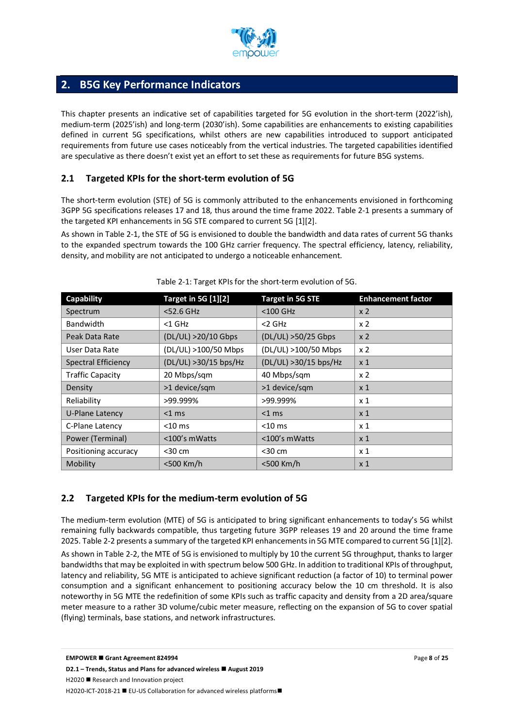

## **2. B5G Key Performance Indicators**

This chapter presents an indicative set of capabilities targeted for 5G evolution in the short-term (2022'ish), medium-term (2025'ish) and long-term (2030'ish). Some capabilities are enhancements to existing capabilities defined in current 5G specifications, whilst others are new capabilities introduced to support anticipated requirements from future use cases noticeably from the vertical industries. The targeted capabilities identified are speculative as there doesn't exist yet an effort to set these as requirements for future B5G systems.

#### **2.1 Targeted KPIs for the short-term evolution of 5G**

The short-term evolution (STE) of 5G is commonly attributed to the enhancements envisioned in forthcoming 3GPP 5G specifications releases 17 and 18, thus around the time frame 2022. Table 2-1 presents a summary of the targeted KPI enhancements in 5G STE compared to current 5G [1][2].

As shown in Table 2-1, the STE of 5G is envisioned to double the bandwidth and data rates of current 5G thanks to the expanded spectrum towards the 100 GHz carrier frequency. The spectral efficiency, latency, reliability, density, and mobility are not anticipated to undergo a noticeable enhancement.

| Capability                 | <b>Target in 5G [1][2]</b> | <b>Target in 5G STE</b> | <b>Enhancement factor</b> |
|----------------------------|----------------------------|-------------------------|---------------------------|
| Spectrum                   | <52.6 GHz                  | <100 GHz                | x <sub>2</sub>            |
| <b>Bandwidth</b>           | $<$ 1 GHz                  | $<$ 2 GHz               | x <sub>2</sub>            |
| Peak Data Rate             | (DL/UL) >20/10 Gbps        | (DL/UL) >50/25 Gbps     | x <sub>2</sub>            |
| User Data Rate             | (DL/UL) >100/50 Mbps       | (DL/UL) >100/50 Mbps    | x <sub>2</sub>            |
| <b>Spectral Efficiency</b> | (DL/UL) > 30/15 bps/Hz     | (DL/UL) > 30/15 bps/Hz  | x <sub>1</sub>            |
| <b>Traffic Capacity</b>    | 20 Mbps/sqm                | 40 Mbps/sqm             | x <sub>2</sub>            |
| Density                    | >1 device/sqm              | >1 device/sqm           | x <sub>1</sub>            |
| Reliability                | >99.999%                   | >99.999%                | x 1                       |
| U-Plane Latency            | $<$ 1 ms                   | $<$ 1 ms                | x <sub>1</sub>            |
| C-Plane Latency            | $<$ 10 ms                  | $<$ 10 ms               | x 1                       |
| Power (Terminal)           | <100's mWatts              | <100's mWatts           | x <sub>1</sub>            |
| Positioning accuracy       | $30 cm$                    | $30 cm$                 | x 1                       |
| Mobility                   | <500 Km/h                  | <500 Km/h               | x <sub>1</sub>            |

| Table 2-1: Target KPIs for the short-term evolution of 5G. |  |  |
|------------------------------------------------------------|--|--|
|                                                            |  |  |

#### **2.2 Targeted KPIs for the medium-term evolution of 5G**

The medium-term evolution (MTE) of 5G is anticipated to bring significant enhancements to today's 5G whilst remaining fully backwards compatible, thus targeting future 3GPP releases 19 and 20 around the time frame 2025. Table 2-2 presents a summary of the targeted KPI enhancements in 5G MTE compared to current 5G [1][2].

As shown in Table 2-2, the MTE of 5G is envisioned to multiply by 10 the current 5G throughput, thanks to larger bandwidths that may be exploited in with spectrum below 500 GHz. In addition to traditional KPIs of throughput, latency and reliability, 5G MTE is anticipated to achieve significant reduction (a factor of 10) to terminal power consumption and a significant enhancement to positioning accuracy below the 10 cm threshold. It is also noteworthy in 5G MTE the redefinition of some KPIs such as traffic capacity and density from a 2D area/square meter measure to a rather 3D volume/cubic meter measure, reflecting on the expansion of 5G to cover spatial (flying) terminals, base stations, and network infrastructures.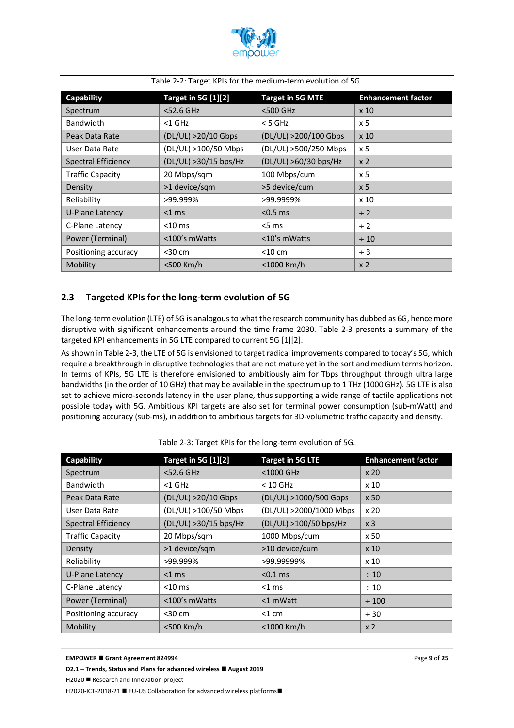

| Capability                      | <b>Target in 5G [1][2]</b> | <b>Target in 5G MTE</b> | <b>Enhancement factor</b> |
|---------------------------------|----------------------------|-------------------------|---------------------------|
| Spectrum                        | $<$ 52.6 GHz               | <500 GHz                | x <sub>10</sub>           |
| <b>Bandwidth</b>                | $<$ 1 GHz                  | < 5 GHz                 | x 5                       |
| Peak Data Rate                  | (DL/UL) >20/10 Gbps        | (DL/UL) >200/100 Gbps   | x 10                      |
| User Data Rate                  | (DL/UL) >100/50 Mbps       | (DL/UL) >500/250 Mbps   | x <sub>5</sub>            |
| <b>Spectral Efficiency</b>      | (DL/UL) > 30/15 bps/Hz     | (DL/UL) >60/30 bps/Hz   | x <sub>2</sub>            |
| <b>Traffic Capacity</b>         | 20 Mbps/sqm                | 100 Mbps/cum            | x 5                       |
| Density                         | >1 device/sqm              | >5 device/cum           | x <sub>5</sub>            |
| Reliability                     | >99.999%                   | >99.9999%               | x 10                      |
| U-Plane Latency                 | $<$ 1 ms                   | $< 0.5$ ms              | $\div$ 2                  |
| C-Plane Latency                 | $<$ 10 ms                  | $5 \text{ ms}$          | $\div$ 2                  |
| Power (Terminal)                | <100's mWatts              | $<$ 10's mWatts         | $\div 10$                 |
| Positioning accuracy<br>$30 cm$ |                            | $<$ 10 cm               | $\div$ 3                  |
| Mobility                        | <500 Km/h                  | <1000 Km/h              | x <sub>2</sub>            |

Table 2-2: Target KPIs for the medium-term evolution of 5G.

#### **2.3 Targeted KPIs for the long-term evolution of 5G**

The long-term evolution (LTE) of 5G is analogous to what the research community has dubbed as 6G, hence more disruptive with significant enhancements around the time frame 2030. Table 2-3 presents a summary of the targeted KPI enhancements in 5G LTE compared to current 5G [1][2].

As shown in Table 2-3, the LTE of 5G is envisioned to target radical improvements compared to today's 5G, which require a breakthrough in disruptive technologies that are not mature yet in the sort and medium terms horizon. In terms of KPIs, 5G LTE is therefore envisioned to ambitiously aim for Tbps throughput through ultra large bandwidths (in the order of 10 GHz) that may be available in the spectrum up to 1 THz (1000 GHz). 5G LTE is also set to achieve micro-seconds latency in the user plane, thus supporting a wide range of tactile applications not possible today with 5G. Ambitious KPI targets are also set for terminal power consumption (sub-mWatt) and positioning accuracy (sub-ms), in addition to ambitious targets for 3D-volumetric traffic capacity and density.

| Capability                 | <b>Target in 5G [1][2]</b> | <b>Target in 5G LTE</b> | <b>Enhancement factor</b> |
|----------------------------|----------------------------|-------------------------|---------------------------|
| Spectrum                   | <52.6 GHz                  | <1000 GHz               | x 20                      |
| <b>Bandwidth</b>           | $<$ 1 GHz                  | $< 10$ GHz              | x <sub>10</sub>           |
| Peak Data Rate             | (DL/UL) >20/10 Gbps        | (DL/UL) >1000/500 Gbps  | x 50                      |
| User Data Rate             | (DL/UL) >100/50 Mbps       | (DL/UL) >2000/1000 Mbps | x <sub>20</sub>           |
| <b>Spectral Efficiency</b> | (DL/UL) > 30/15 bps/Hz     | (DL/UL) >100/50 bps/Hz  | x <sub>3</sub>            |
| <b>Traffic Capacity</b>    | 20 Mbps/sqm                | 1000 Mbps/cum           | x 50                      |
| Density                    | >1 device/sqm              | >10 device/cum          | $\times 10$               |
| Reliability                | >99.999%                   | >99.99999%              | x <sub>10</sub>           |
| <b>U-Plane Latency</b>     | $<$ 1 ms                   | $< 0.1 \text{ ms}$      | $\div$ 10                 |
| C-Plane Latency            | $<$ 10 ms                  | $<$ 1 ms                | $\div$ 10                 |
| Power (Terminal)           | <100's mWatts              | <1 mWatt                | $\div$ 100                |
| Positioning accuracy       | $30 cm$                    | $<$ 1 cm                | $\div$ 30                 |
| Mobility                   | <500 Km/h                  | <1000 Km/h              | x <sub>2</sub>            |

Table 2-3: Target KPIs for the long-term evolution of 5G.

#### **EMPOWER ■ Grant Agreement 824994**

**D2.1** − **Trends, Status and Plans for advanced wireless ■ August 2019** H2020 ■ Research and Innovation project H2020-ICT-2018-21 ■ EU-US Collaboration for advanced wireless platforms■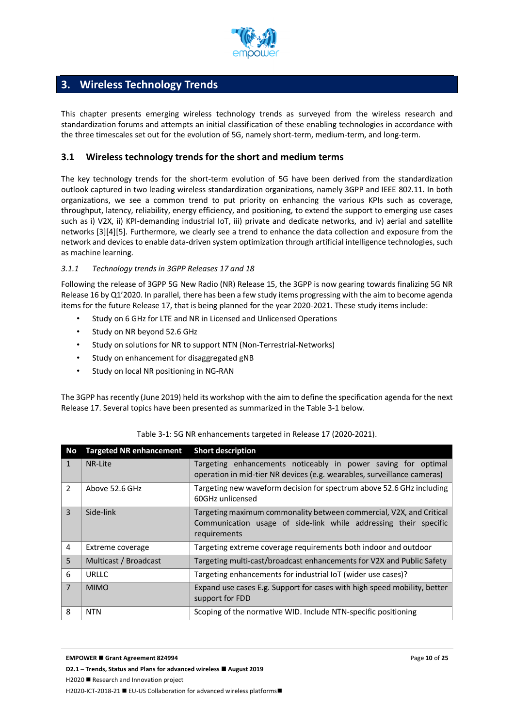

## **3. Wireless Technology Trends**

This chapter presents emerging wireless technology trends as surveyed from the wireless research and standardization forums and attempts an initial classification of these enabling technologies in accordance with the three timescales set out for the evolution of 5G, namely short-term, medium-term, and long-term.

#### **3.1 Wireless technology trends for the short and medium terms**

The key technology trends for the short-term evolution of 5G have been derived from the standardization outlook captured in two leading wireless standardization organizations, namely 3GPP and IEEE 802.11. In both organizations, we see a common trend to put priority on enhancing the various KPIs such as coverage, throughput, latency, reliability, energy efficiency, and positioning, to extend the support to emerging use cases such as i) V2X, ii) KPI-demanding industrial IoT, iii) private and dedicate networks, and iv) aerial and satellite networks [3][4][5]. Furthermore, we clearly see a trend to enhance the data collection and exposure from the network and devices to enable data-driven system optimization through artificial intelligence technologies, such as machine learning.

#### *3.1.1 Technology trends in 3GPP Releases 17 and 18*

Following the release of 3GPP 5G New Radio (NR) Release 15, the 3GPP is now gearing towards finalizing 5G NR Release 16 by Q1'2020. In parallel, there has been a few study items progressing with the aim to become agenda items for the future Release 17, that is being planned for the year 2020-2021. These study items include:

- Study on 6 GHz for LTE and NR in Licensed and Unlicensed Operations
- Study on NR beyond 52.6 GHz
- Study on solutions for NR to support NTN (Non-Terrestrial-Networks)
- Study on enhancement for disaggregated gNB
- Study on local NR positioning in NG-RAN

The 3GPP has recently (June 2019) held its workshop with the aim to define the specification agenda for the next Release 17. Several topics have been presented as summarized in the Table 3-1 below.

| No             | <b>Targeted NR enhancement</b> | <b>Short description</b>                                                                                                                                |
|----------------|--------------------------------|---------------------------------------------------------------------------------------------------------------------------------------------------------|
| $\mathbf{1}$   | NR-Lite                        | Targeting enhancements noticeably in power saving for optimal<br>operation in mid-tier NR devices (e.g. wearables, surveillance cameras)                |
| $\overline{2}$ | Above 52.6 GHz                 | Targeting new waveform decision for spectrum above 52.6 GHz including<br>60GHz unlicensed                                                               |
| $\overline{3}$ | Side-link                      | Targeting maximum commonality between commercial, V2X, and Critical<br>Communication usage of side-link while addressing their specific<br>requirements |
| 4              | Extreme coverage               | Targeting extreme coverage requirements both indoor and outdoor                                                                                         |
| 5              | Multicast / Broadcast          | Targeting multi-cast/broadcast enhancements for V2X and Public Safety                                                                                   |
| 6              | <b>URLLC</b>                   | Targeting enhancements for industrial IoT (wider use cases)?                                                                                            |
| $\overline{7}$ | <b>MIMO</b>                    | Expand use cases E.g. Support for cases with high speed mobility, better<br>support for FDD                                                             |
| 8              | <b>NTN</b>                     | Scoping of the normative WID. Include NTN-specific positioning                                                                                          |

#### Table 3-1: 5G NR enhancements targeted in Release 17 (2020-2021).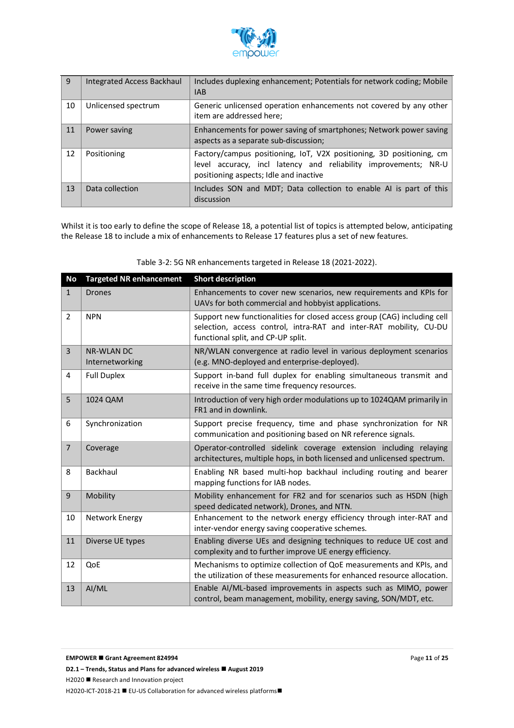

| 9  | Integrated Access Backhaul | Includes duplexing enhancement; Potentials for network coding; Mobile<br><b>IAB</b>                                                                                               |
|----|----------------------------|-----------------------------------------------------------------------------------------------------------------------------------------------------------------------------------|
| 10 | Unlicensed spectrum        | Generic unlicensed operation enhancements not covered by any other<br>item are addressed here;                                                                                    |
| 11 | Power saving               | Enhancements for power saving of smartphones; Network power saving<br>aspects as a separate sub-discussion;                                                                       |
| 12 | Positioning                | Factory/campus positioning, IoT, V2X positioning, 3D positioning, cm<br>level accuracy, incl latency and reliability improvements; NR-U<br>positioning aspects; Idle and inactive |
| 13 | Data collection            | Includes SON and MDT; Data collection to enable AI is part of this<br>discussion                                                                                                  |

Whilst it is too early to define the scope of Release 18, a potential list of topics is attempted below, anticipating the Release 18 to include a mix of enhancements to Release 17 features plus a set of new features.

| No             | <b>Targeted NR enhancement</b>       | <b>Short description</b>                                                                                                                                                             |
|----------------|--------------------------------------|--------------------------------------------------------------------------------------------------------------------------------------------------------------------------------------|
| $\mathbf{1}$   | <b>Drones</b>                        | Enhancements to cover new scenarios, new requirements and KPIs for<br>UAVs for both commercial and hobbyist applications.                                                            |
| $\overline{2}$ | <b>NPN</b>                           | Support new functionalities for closed access group (CAG) including cell<br>selection, access control, intra-RAT and inter-RAT mobility, CU-DU<br>functional split, and CP-UP split. |
| $\overline{3}$ | <b>NR-WLAN DC</b><br>Internetworking | NR/WLAN convergence at radio level in various deployment scenarios<br>(e.g. MNO-deployed and enterprise-deployed).                                                                   |
| 4              | <b>Full Duplex</b>                   | Support in-band full duplex for enabling simultaneous transmit and<br>receive in the same time frequency resources.                                                                  |
| 5              | 1024 QAM                             | Introduction of very high order modulations up to 1024QAM primarily in<br>FR1 and in downlink.                                                                                       |
| 6              | Synchronization                      | Support precise frequency, time and phase synchronization for NR<br>communication and positioning based on NR reference signals.                                                     |
| $\overline{7}$ | Coverage                             | Operator-controlled sidelink coverage extension including relaying<br>architectures, multiple hops, in both licensed and unlicensed spectrum.                                        |
| 8              | Backhaul                             | Enabling NR based multi-hop backhaul including routing and bearer<br>mapping functions for IAB nodes.                                                                                |
| 9              | Mobility                             | Mobility enhancement for FR2 and for scenarios such as HSDN (high<br>speed dedicated network), Drones, and NTN.                                                                      |
| 10             | Network Energy                       | Enhancement to the network energy efficiency through inter-RAT and<br>inter-vendor energy saving cooperative schemes.                                                                |
| 11             | Diverse UE types                     | Enabling diverse UEs and designing techniques to reduce UE cost and<br>complexity and to further improve UE energy efficiency.                                                       |
| 12             | QoE                                  | Mechanisms to optimize collection of QoE measurements and KPIs, and<br>the utilization of these measurements for enhanced resource allocation.                                       |
| 13             | AI/ML                                | Enable AI/ML-based improvements in aspects such as MIMO, power<br>control, beam management, mobility, energy saving, SON/MDT, etc.                                                   |

Table 3-2: 5G NR enhancements targeted in Release 18 (2021-2022).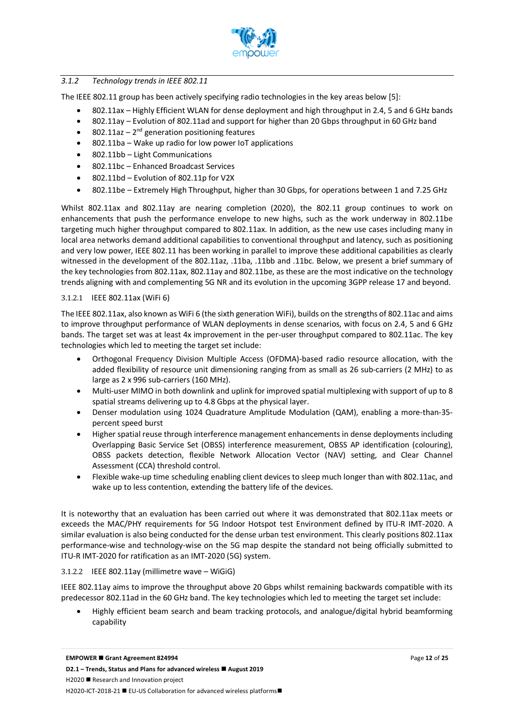

#### *3.1.2 Technology trends in IEEE 802.11*

The IEEE 802.11 group has been actively specifying radio technologies in the key areas below [5]:

- 802.11ax Highly Efficient WLAN for dense deployment and high throughput in 2.4, 5 and 6 GHz bands
- 802.11ay Evolution of 802.11ad and support for higher than 20 Gbps throughput in 60 GHz band
- 802.11az  $2^{nd}$  generation positioning features
- 802.11ba Wake up radio for low power IoT applications
- 802.11bb Light Communications
- 802.11bc Enhanced Broadcast Services
- 802.11bd Evolution of 802.11p for V2X
- 802.11be Extremely High Throughput, higher than 30 Gbps, for operations between 1 and 7.25 GHz

Whilst 802.11ax and 802.11ay are nearing completion (2020), the 802.11 group continues to work on enhancements that push the performance envelope to new highs, such as the work underway in 802.11be targeting much higher throughput compared to 802.11ax. In addition, as the new use cases including many in local area networks demand additional capabilities to conventional throughput and latency, such as positioning and very low power, IEEE 802.11 has been working in parallel to improve these additional capabilities as clearly witnessed in the development of the 802.11az, .11ba, .11bb and .11bc. Below, we present a brief summary of the key technologies from 802.11ax, 802.11ay and 802.11be, as these are the most indicative on the technology trends aligning with and complementing 5G NR and its evolution in the upcoming 3GPP release 17 and beyond.

#### 3.1.2.1 IEEE 802.11ax (WiFi 6)

The IEEE 802.11ax, also known as WiFi 6 (the sixth generation WiFi), builds on the strengths of 802.11ac and aims to improve throughput performance of WLAN deployments in dense scenarios, with focus on 2.4, 5 and 6 GHz bands. The target set was at least 4x improvement in the per-user throughput compared to 802.11ac. The key technologies which led to meeting the target set include:

- Orthogonal Frequency Division Multiple Access (OFDMA)-based radio resource allocation, with the added flexibility of resource unit dimensioning ranging from as small as 26 sub-carriers (2 MHz) to as large as 2 x 996 sub-carriers (160 MHz).
- Multi-user MIMO in both downlink and uplink for improved spatial multiplexing with support of up to 8 spatial streams delivering up to 4.8 Gbps at the physical layer.
- Denser modulation using 1024 Quadrature Amplitude Modulation (QAM), enabling a more-than-35 percent speed burst
- Higher spatial reuse through interference management enhancements in dense deployments including Overlapping Basic Service Set (OBSS) interference measurement, OBSS AP identification (colouring), OBSS packets detection, flexible Network Allocation Vector (NAV) setting, and Clear Channel Assessment (CCA) threshold control.
- Flexible wake-up time scheduling enabling client devices to sleep much longer than with 802.11ac, and wake up to less contention, extending the battery life of the devices.

It is noteworthy that an evaluation has been carried out where it was demonstrated that 802.11ax meets or exceeds the MAC/PHY requirements for 5G Indoor Hotspot test Environment defined by ITU-R IMT-2020. A similar evaluation is also being conducted for the dense urban test environment. This clearly positions 802.11ax performance-wise and technology-wise on the 5G map despite the standard not being officially submitted to ITU-R IMT-2020 for ratification as an IMT-2020 (5G) system.

#### 3.1.2.2 IEEE 802.11ay (millimetre wave – WiGiG)

IEEE 802.11ay aims to improve the throughput above 20 Gbps whilst remaining backwards compatible with its predecessor 802.11ad in the 60 GHz band. The key technologies which led to meeting the target set include:

• Highly efficient beam search and beam tracking protocols, and analogue/digital hybrid beamforming capability

**EMPOWER ■ Grant Agreement 824994** 

**D2.1** − **Trends, Status and Plans for advanced wireless ■ August 2019** H2020 ■ Research and Innovation project H2020-ICT-2018-21 ■ EU-US Collaboration for advanced wireless platforms■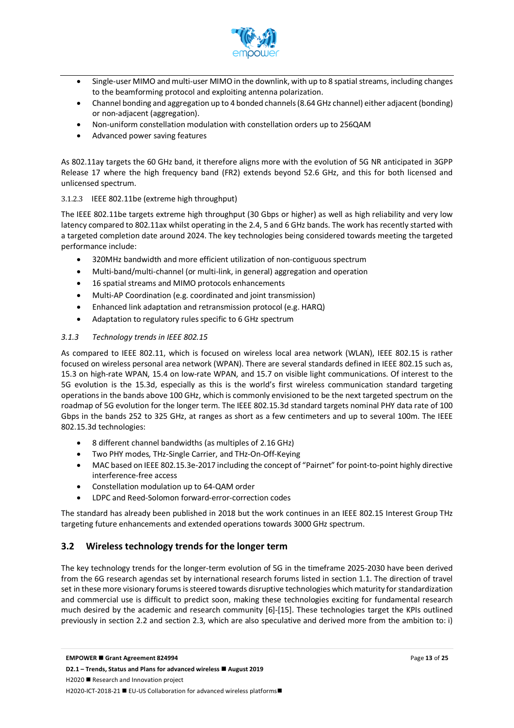

- Single-user MIMO and multi-user MIMO in the downlink, with up to 8 spatial streams, including changes to the beamforming protocol and exploiting antenna polarization.
- Channel bonding and aggregation up to 4 bonded channels (8.64 GHz channel) either adjacent (bonding) or non-adjacent (aggregation).
- Non-uniform constellation modulation with constellation orders up to 256QAM
- Advanced power saving features

As 802.11ay targets the 60 GHz band, it therefore aligns more with the evolution of 5G NR anticipated in 3GPP Release 17 where the high frequency band (FR2) extends beyond 52.6 GHz, and this for both licensed and unlicensed spectrum.

#### 3.1.2.3 IEEE 802.11be (extreme high throughput)

The IEEE 802.11be targets extreme high throughput (30 Gbps or higher) as well as high reliability and very low latency compared to 802.11ax whilst operating in the 2.4, 5 and 6 GHz bands. The work has recently started with a targeted completion date around 2024. The key technologies being considered towards meeting the targeted performance include:

- 320MHz bandwidth and more efficient utilization of non-contiguous spectrum
- Multi-band/multi-channel (or multi-link, in general) aggregation and operation
- 16 spatial streams and MIMO protocols enhancements
- Multi-AP Coordination (e.g. coordinated and joint transmission)
- Enhanced link adaptation and retransmission protocol (e.g. HARQ)
- Adaptation to regulatory rules specific to 6 GHz spectrum

#### *3.1.3 Technology trends in IEEE 802.15*

As compared to IEEE 802.11, which is focused on wireless local area network (WLAN), IEEE 802.15 is rather focused on wireless personal area network (WPAN). There are several standards defined in IEEE 802.15 such as, 15.3 on high-rate WPAN, 15.4 on low-rate WPAN, and 15.7 on visible light communications. Of interest to the 5G evolution is the 15.3d, especially as this is the world's first wireless communication standard targeting operations in the bands above 100 GHz, which is commonly envisioned to be the next targeted spectrum on the roadmap of 5G evolution for the longer term. The IEEE 802.15.3d standard targets nominal PHY data rate of 100 Gbps in the bands 252 to 325 GHz, at ranges as short as a few centimeters and up to several 100m. The IEEE 802.15.3d technologies:

- 8 different channel bandwidths (as multiples of 2.16 GHz)
- Two PHY modes, THz-Single Carrier, and THz-On-Off-Keying
- MAC based on IEEE 802.15.3e-2017 including the concept of "Pairnet" for point-to-point highly directive interference-free access
- Constellation modulation up to 64-QAM order
- LDPC and Reed-Solomon forward-error-correction codes

The standard has already been published in 2018 but the work continues in an IEEE 802.15 Interest Group THz targeting future enhancements and extended operations towards 3000 GHz spectrum.

#### **3.2 Wireless technology trends for the longer term**

The key technology trends for the longer-term evolution of 5G in the timeframe 2025-2030 have been derived from the 6G research agendas set by international research forums listed in section 1.1. The direction of travel set in these more visionary forums is steered towards disruptive technologies which maturity for standardization and commercial use is difficult to predict soon, making these technologies exciting for fundamental research much desired by the academic and research community [6]-[15]. These technologies target the KPIs outlined previously in section 2.2 and section 2.3, which are also speculative and derived more from the ambition to: i)

H2020 ■ Research and Innovation project

H2020-ICT-2018-21 ■ EU-US Collaboration for advanced wireless platforms■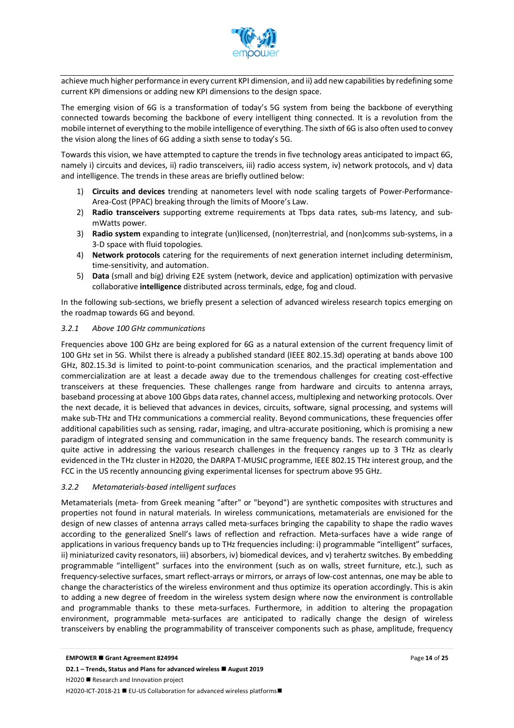

achieve much higher performance in every current KPI dimension, and ii) add new capabilities by redefining some current KPI dimensions or adding new KPI dimensions to the design space.

The emerging vision of 6G is a transformation of today's 5G system from being the backbone of everything connected towards becoming the backbone of every intelligent thing connected. It is a revolution from the mobile internet of everything to the mobile intelligence of everything. The sixth of 6G is also often used to convey the vision along the lines of 6G adding a sixth sense to today's 5G.

Towards this vision, we have attempted to capture the trends in five technology areas anticipated to impact 6G, namely i) circuits and devices, ii) radio transceivers, iii) radio access system, iv) network protocols, and v) data and intelligence. The trends in these areas are briefly outlined below:

- 1) **Circuits and devices** trending at nanometers level with node scaling targets of Power-Performance-Area-Cost (PPAC) breaking through the limits of Moore's Law.
- 2) **Radio transceivers** supporting extreme requirements at Tbps data rates, sub-ms latency, and submWatts power.
- 3) **Radio system** expanding to integrate (un)licensed, (non)terrestrial, and (non)comms sub-systems, in a 3-D space with fluid topologies.
- 4) **Network protocols** catering for the requirements of next generation internet including determinism, time-sensitivity, and automation.
- 5) **Data** (small and big) driving E2E system (network, device and application) optimization with pervasive collaborative **intelligence** distributed across terminals, edge, fog and cloud.

In the following sub-sections, we briefly present a selection of advanced wireless research topics emerging on the roadmap towards 6G and beyond.

#### *3.2.1 Above 100 GHz communications*

Frequencies above 100 GHz are being explored for 6G as a natural extension of the current frequency limit of 100 GHz set in 5G. Whilst there is already a published standard (IEEE 802.15.3d) operating at bands above 100 GHz, 802.15.3d is limited to point-to-point communication scenarios, and the practical implementation and commercialization are at least a decade away due to the tremendous challenges for creating cost-effective transceivers at these frequencies. These challenges range from hardware and circuits to antenna arrays, baseband processing at above 100 Gbps data rates, channel access, multiplexing and networking protocols. Over the next decade, it is believed that advances in devices, circuits, software, signal processing, and systems will make sub-THz and THz communications a commercial reality. Beyond communications, these frequencies offer additional capabilities such as sensing, radar, imaging, and ultra-accurate positioning, which is promising a new paradigm of integrated sensing and communication in the same frequency bands. The research community is quite active in addressing the various research challenges in the frequency ranges up to 3 THz as clearly evidenced in the THz cluster in H2020, the DARPA T-MUSIC programme, IEEE 802.15 THz interest group, and the FCC in the US recently announcing giving experimental licenses for spectrum above 95 GHz.

#### *3.2.2 Metamaterials-based intelligent surfaces*

Metamaterials (meta- from Greek meaning "after" or "beyond") are synthetic composites with structures and properties not found in natural materials. In wireless communications, metamaterials are envisioned for the design of new classes of antenna arrays called meta-surfaces bringing the capability to shape the radio waves according to the generalized Snell's laws of reflection and refraction. Meta-surfaces have a wide range of applications in various frequency bands up to THz frequencies including: i) programmable "intelligent" surfaces, ii) miniaturized cavity resonators, iii) absorbers, iv) biomedical devices, and v) terahertz switches. By embedding programmable "intelligent" surfaces into the environment (such as on walls, street furniture, etc.), such as frequency-selective surfaces, smart reflect-arrays or mirrors, or arrays of low-cost antennas, one may be able to change the characteristics of the wireless environment and thus optimize its operation accordingly. This is akin to adding a new degree of freedom in the wireless system design where now the environment is controllable and programmable thanks to these meta-surfaces. Furthermore, in addition to altering the propagation environment, programmable meta-surfaces are anticipated to radically change the design of wireless transceivers by enabling the programmability of transceiver components such as phase, amplitude, frequency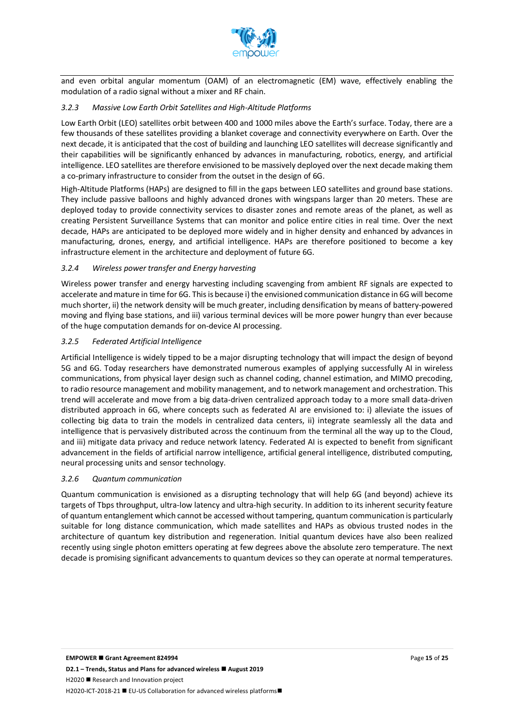

and even orbital angular momentum (OAM) of an electromagnetic (EM) wave, effectively enabling the modulation of a radio signal without a mixer and RF chain.

#### *3.2.3 Massive Low Earth Orbit Satellites and High-Altitude Platforms*

Low Earth Orbit (LEO) satellites orbit between 400 and 1000 miles above the Earth's surface. Today, there are a few thousands of these satellites providing a blanket coverage and connectivity everywhere on Earth. Over the next decade, it is anticipated that the cost of building and launching LEO satellites will decrease significantly and their capabilities will be significantly enhanced by advances in manufacturing, robotics, energy, and artificial intelligence. LEO satellites are therefore envisioned to be massively deployed over the next decade making them a co-primary infrastructure to consider from the outset in the design of 6G.

High-Altitude Platforms (HAPs) are designed to fill in the gaps between LEO satellites and ground base stations. They include passive balloons and highly advanced drones with wingspans larger than 20 meters. These are deployed today to provide connectivity services to disaster zones and remote areas of the planet, as well as creating Persistent Surveillance Systems that can monitor and police entire cities in real time. Over the next decade, HAPs are anticipated to be deployed more widely and in higher density and enhanced by advances in manufacturing, drones, energy, and artificial intelligence. HAPs are therefore positioned to become a key infrastructure element in the architecture and deployment of future 6G.

#### *3.2.4 Wireless power transfer and Energy harvesting*

Wireless power transfer and energy harvesting including scavenging from ambient RF signals are expected to accelerate and mature in time for 6G. This is because i) the envisioned communication distance in 6G will become much shorter, ii) the network density will be much greater, including densification by means of battery-powered moving and flying base stations, and iii) various terminal devices will be more power hungry than ever because of the huge computation demands for on-device AI processing.

#### *3.2.5 Federated Artificial Intelligence*

Artificial Intelligence is widely tipped to be a major disrupting technology that will impact the design of beyond 5G and 6G. Today researchers have demonstrated numerous examples of applying successfully AI in wireless communications, from physical layer design such as channel coding, channel estimation, and MIMO precoding, to radio resource management and mobility management, and to network management and orchestration. This trend will accelerate and move from a big data-driven centralized approach today to a more small data-driven distributed approach in 6G, where concepts such as federated AI are envisioned to: i) alleviate the issues of collecting big data to train the models in centralized data centers, ii) integrate seamlessly all the data and intelligence that is pervasively distributed across the continuum from the terminal all the way up to the Cloud, and iii) mitigate data privacy and reduce network latency. Federated AI is expected to benefit from significant advancement in the fields of artificial narrow intelligence, artificial general intelligence, distributed computing, neural processing units and sensor technology.

#### *3.2.6 Quantum communication*

Quantum communication is envisioned as a disrupting technology that will help 6G (and beyond) achieve its targets of Tbps throughput, ultra-low latency and ultra-high security. In addition to its inherent security feature of quantum entanglement which cannot be accessed without tampering, quantum communication is particularly suitable for long distance communication, which made satellites and HAPs as obvious trusted nodes in the architecture of quantum key distribution and regeneration. Initial quantum devices have also been realized recently using single photon emitters operating at few degrees above the absolute zero temperature. The next decade is promising significant advancements to quantum devices so they can operate at normal temperatures.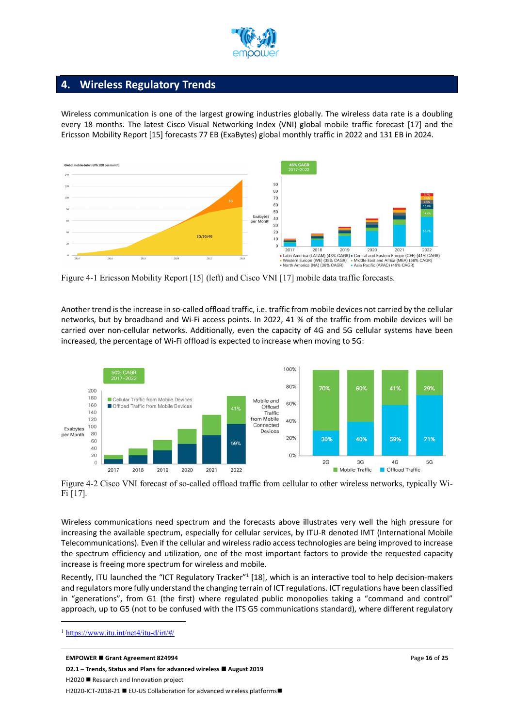

## **4. Wireless Regulatory Trends**

Wireless communication is one of the largest growing industries globally. The wireless data rate is a doubling every 18 months. The latest Cisco Visual Networking Index (VNI) global mobile traffic forecast [17] and the Ericsson Mobility Report [15] forecasts 77 EB (ExaBytes) global monthly traffic in 2022 and 131 EB in 2024.



Figure 4-1 Ericsson Mobility Report [15] (left) and Cisco VNI [17] mobile data traffic forecasts.

Another trend is the increase in so-called offload traffic, i.e. traffic from mobile devices not carried by the cellular networks, but by broadband and Wi-Fi access points. In 2022, 41 % of the traffic from mobile devices will be carried over non-cellular networks. Additionally, even the capacity of 4G and 5G cellular systems have been increased, the percentage of Wi-Fi offload is expected to increase when moving to 5G:



Figure 4-2 Cisco VNI forecast of so-called offload traffic from cellular to other wireless networks, typically Wi-Fi [17].

Wireless communications need spectrum and the forecasts above illustrates very well the high pressure for increasing the available spectrum, especially for cellular services, by ITU-R denoted IMT (International Mobile Telecommunications). Even if the cellular and wireless radio access technologies are being improved to increase the spectrum efficiency and utilization, one of the most important factors to provide the requested capacity increase is freeing more spectrum for wireless and mobile.

Recently, ITU launched the "ICT Regulatory Tracker"<sup>1</sup> [18], which is an interactive tool to help decision-makers and regulators more fully understand the changing terrain of ICT regulations. ICT regulations have been classified in "generations", from G1 (the first) where regulated public monopolies taking a "command and control" approach, up to G5 (not to be confused with the ITS G5 communications standard), where different regulatory

 $\overline{a}$ 

<sup>1</sup> https://www.itu.int/net4/itu-d/irt/#/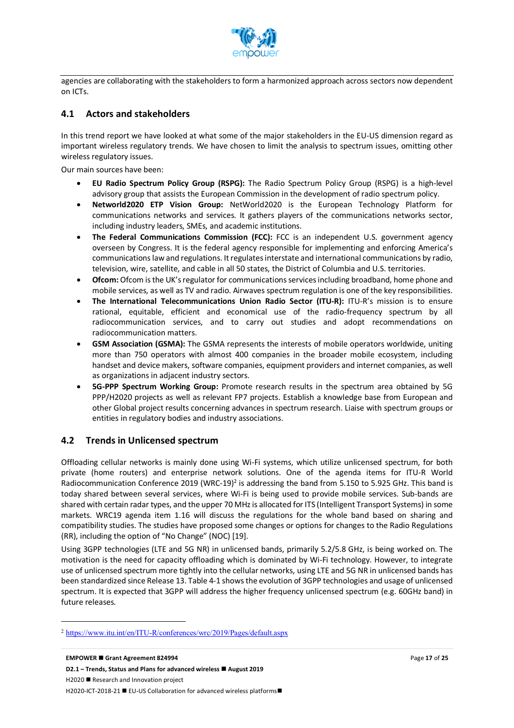

agencies are collaborating with the stakeholders to form a harmonized approach across sectors now dependent on ICTs.

#### **4.1 Actors and stakeholders**

In this trend report we have looked at what some of the major stakeholders in the EU-US dimension regard as important wireless regulatory trends. We have chosen to limit the analysis to spectrum issues, omitting other wireless regulatory issues.

Our main sources have been:

- **EU Radio Spectrum Policy Group (RSPG):** The Radio Spectrum Policy Group (RSPG) is a high-level advisory group that assists the European Commission in the development of radio spectrum policy.
- **Networld2020 ETP Vision Group:** NetWorld2020 is the European Technology Platform for communications networks and services. It gathers players of the communications networks sector, including industry leaders, SMEs, and academic institutions.
- **The Federal Communications Commission (FCC):** FCC is an independent U.S. government agency overseen by Congress. It is the federal agency responsible for implementing and enforcing America's communications law and regulations. It regulates interstate and international communications by radio, television, wire, satellite, and cable in all 50 states, the District of Columbia and U.S. territories.
- **Ofcom:** Ofcom is the UK's regulator for communications services including broadband, home phone and mobile services, as well as TV and radio. Airwaves spectrum regulation is one of the key responsibilities.
- **The International Telecommunications Union Radio Sector (ITU-R):** ITU-R's mission is to ensure rational, equitable, efficient and economical use of the radio-frequency spectrum by all radiocommunication services, and to carry out studies and adopt recommendations on radiocommunication matters.
- GSM Association (GSMA): The GSMA represents the interests of mobile operators worldwide, uniting more than 750 operators with almost 400 companies in the broader mobile ecosystem, including handset and device makers, software companies, equipment providers and internet companies, as well as organizations in adjacent industry sectors.
- **5G-PPP Spectrum Working Group:** Promote research results in the spectrum area obtained by 5G PPP/H2020 projects as well as relevant FP7 projects. Establish a knowledge base from European and other Global project results concerning advances in spectrum research. Liaise with spectrum groups or entities in regulatory bodies and industry associations.

#### **4.2 Trends in Unlicensed spectrum**

 $\overline{a}$ 

Offloading cellular networks is mainly done using Wi-Fi systems, which utilize unlicensed spectrum, for both private (home routers) and enterprise network solutions. One of the agenda items for ITU-R World Radiocommunication Conference 2019 (WRC-19)<sup>2</sup> is addressing the band from 5.150 to 5.925 GHz. This band is today shared between several services, where Wi-Fi is being used to provide mobile services. Sub-bands are shared with certain radar types, and the upper 70 MHz is allocated for ITS (Intelligent Transport Systems) in some markets. WRC19 agenda item 1.16 will discuss the regulations for the whole band based on sharing and compatibility studies. The studies have proposed some changes or options for changes to the Radio Regulations (RR), including the option of "No Change" (NOC) [19].

Using 3GPP technologies (LTE and 5G NR) in unlicensed bands, primarily 5.2/5.8 GHz, is being worked on. The motivation is the need for capacity offloading which is dominated by Wi-Fi technology. However, to integrate use of unlicensed spectrum more tightly into the cellular networks, using LTE and 5G NR in unlicensed bands has been standardized since Release 13. Table 4-1 shows the evolution of 3GPP technologies and usage of unlicensed spectrum. It is expected that 3GPP will address the higher frequency unlicensed spectrum (e.g. 60GHz band) in future releases.

<sup>2</sup> https://www.itu.int/en/ITU-R/conferences/wrc/2019/Pages/default.aspx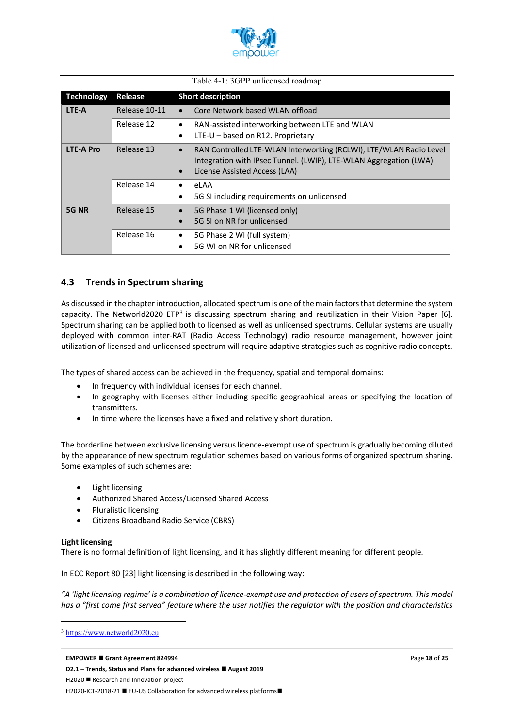

#### Table 4-1: 3GPP unlicensed roadmap

| <b>Technology</b> | Release       | <b>Short description</b>                                                                                                                                                                           |
|-------------------|---------------|----------------------------------------------------------------------------------------------------------------------------------------------------------------------------------------------------|
| LTE-A             | Release 10-11 | Core Network based WLAN offload                                                                                                                                                                    |
|                   | Release 12    | RAN-assisted interworking between LTE and WLAN<br>٠                                                                                                                                                |
|                   |               | LTE-U - based on R12. Proprietary<br>٠                                                                                                                                                             |
| <b>LTE-A Pro</b>  | Release 13    | RAN Controlled LTE-WLAN Interworking (RCLWI), LTE/WLAN Radio Level<br>$\bullet$<br>Integration with IPsec Tunnel. (LWIP), LTE-WLAN Aggregation (LWA)<br>License Assisted Access (LAA)<br>$\bullet$ |
|                   | Release 14    | eLAA                                                                                                                                                                                               |
|                   |               | 5G SI including requirements on unlicensed                                                                                                                                                         |
| 5G NR             | Release 15    | 5G Phase 1 WI (licensed only)<br>$\bullet$                                                                                                                                                         |
|                   |               | 5G SL on NR for unlicensed                                                                                                                                                                         |
|                   | Release 16    | 5G Phase 2 WI (full system)<br>٠                                                                                                                                                                   |
|                   |               | 5G WI on NR for unlicensed                                                                                                                                                                         |

#### **4.3 Trends in Spectrum sharing**

As discussed in the chapter introduction, allocated spectrum is one of the main factors that determine the system capacity. The Networld2020 ETP<sup>3</sup> is discussing spectrum sharing and reutilization in their Vision Paper [6]. Spectrum sharing can be applied both to licensed as well as unlicensed spectrums. Cellular systems are usually deployed with common inter-RAT (Radio Access Technology) radio resource management, however joint utilization of licensed and unlicensed spectrum will require adaptive strategies such as cognitive radio concepts.

The types of shared access can be achieved in the frequency, spatial and temporal domains:

- In frequency with individual licenses for each channel.
- In geography with licenses either including specific geographical areas or specifying the location of transmitters.
- In time where the licenses have a fixed and relatively short duration.

The borderline between exclusive licensing versus licence-exempt use of spectrum is gradually becoming diluted by the appearance of new spectrum regulation schemes based on various forms of organized spectrum sharing. Some examples of such schemes are:

- Light licensing
- Authorized Shared Access/Licensed Shared Access
- Pluralistic licensing
- Citizens Broadband Radio Service (CBRS)

#### **Light licensing**

 $\overline{a}$ 

There is no formal definition of light licensing, and it has slightly different meaning for different people.

In ECC Report 80 [23] light licensing is described in the following way:

*"A 'light licensing regime' is a combination of licence-exempt use and protection of users of spectrum. This model has a "first come first served" feature where the user notifies the regulator with the position and characteristics* 

<sup>3</sup> https://www.networld2020.eu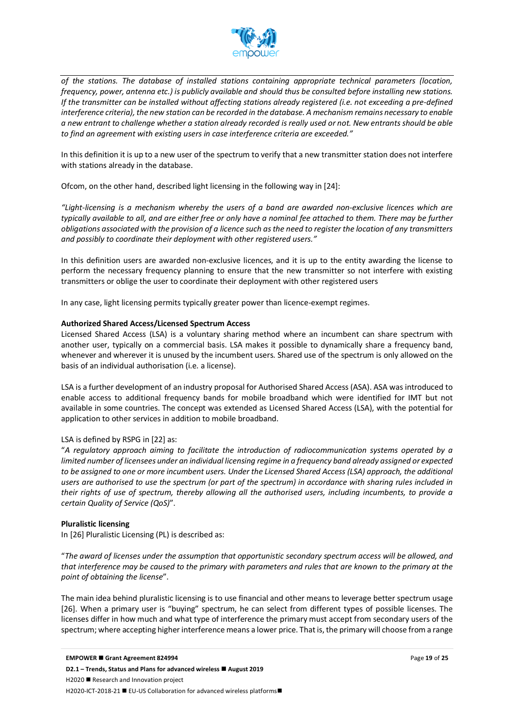

*of the stations. The database of installed stations containing appropriate technical parameters (location, frequency, power, antenna etc.) is publicly available and should thus be consulted before installing new stations. If the transmitter can be installed without affecting stations already registered (i.e. not exceeding a pre-defined interference criteria), the new station can be recorded in the database. A mechanism remains necessary to enable a new entrant to challenge whether a station already recorded is really used or not. New entrants should be able to find an agreement with existing users in case interference criteria are exceeded."*

In this definition it is up to a new user of the spectrum to verify that a new transmitter station does not interfere with stations already in the database.

Ofcom, on the other hand, described light licensing in the following way in [24]:

*"Light-licensing is a mechanism whereby the users of a band are awarded non-exclusive licences which are typically available to all, and are either free or only have a nominal fee attached to them. There may be further obligations associated with the provision of a licence such as the need to register the location of any transmitters and possibly to coordinate their deployment with other registered users."*

In this definition users are awarded non-exclusive licences, and it is up to the entity awarding the license to perform the necessary frequency planning to ensure that the new transmitter so not interfere with existing transmitters or oblige the user to coordinate their deployment with other registered users

In any case, light licensing permits typically greater power than licence-exempt regimes.

#### **Authorized Shared Access/Licensed Spectrum Access**

Licensed Shared Access (LSA) is a voluntary sharing method where an incumbent can share spectrum with another user, typically on a commercial basis. LSA makes it possible to dynamically share a frequency band, whenever and wherever it is unused by the incumbent users. Shared use of the spectrum is only allowed on the basis of an individual authorisation (i.e. a license).

LSA is a further development of an industry proposal for Authorised Shared Access (ASA). ASA was introduced to enable access to additional frequency bands for mobile broadband which were identified for IMT but not available in some countries. The concept was extended as Licensed Shared Access (LSA), with the potential for application to other services in addition to mobile broadband.

#### LSA is defined by RSPG in [22] as:

"*A regulatory approach aiming to facilitate the introduction of radiocommunication systems operated by a limited number of licensees under an individual licensing regime in a frequency band already assigned or expected to be assigned to one or more incumbent users. Under the Licensed Shared Access (LSA) approach, the additional users are authorised to use the spectrum (or part of the spectrum) in accordance with sharing rules included in their rights of use of spectrum, thereby allowing all the authorised users, including incumbents, to provide a certain Quality of Service (QoS)*".

#### **Pluralistic licensing**

In [26] Pluralistic Licensing (PL) is described as:

"*The award of licenses under the assumption that opportunistic secondary spectrum access will be allowed, and that interference may be caused to the primary with parameters and rules that are known to the primary at the point of obtaining the license*".

The main idea behind pluralistic licensing is to use financial and other means to leverage better spectrum usage [26]. When a primary user is "buying" spectrum, he can select from different types of possible licenses. The licenses differ in how much and what type of interference the primary must accept from secondary users of the spectrum; where accepting higher interference means a lower price. That is, the primary will choose from a range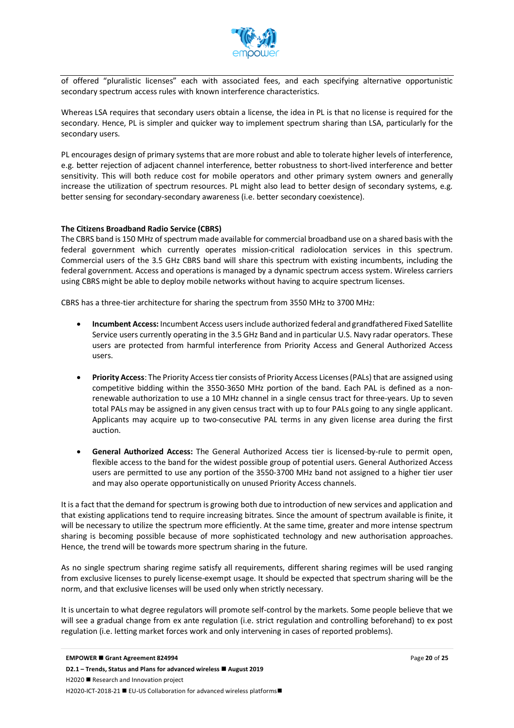

of offered "pluralistic licenses" each with associated fees, and each specifying alternative opportunistic secondary spectrum access rules with known interference characteristics.

Whereas LSA requires that secondary users obtain a license, the idea in PL is that no license is required for the secondary. Hence, PL is simpler and quicker way to implement spectrum sharing than LSA, particularly for the secondary users.

PL encourages design of primary systems that are more robust and able to tolerate higher levels of interference, e.g. better rejection of adjacent channel interference, better robustness to short-lived interference and better sensitivity. This will both reduce cost for mobile operators and other primary system owners and generally increase the utilization of spectrum resources. PL might also lead to better design of secondary systems, e.g. better sensing for secondary-secondary awareness (i.e. better secondary coexistence).

#### **The Citizens Broadband Radio Service (CBRS)**

The CBRS band is 150 MHz of spectrum made available for commercial broadband use on a shared basis with the federal government which currently operates mission-critical radiolocation services in this spectrum. Commercial users of the 3.5 GHz CBRS band will share this spectrum with existing incumbents, including the federal government. Access and operations is managed by a dynamic spectrum access system. Wireless carriers using CBRS might be able to deploy mobile networks without having to acquire spectrum licenses.

CBRS has a three-tier architecture for sharing the spectrum from 3550 MHz to 3700 MHz:

- **Incumbent Access:** Incumbent Access users include authorized federal and grandfathered Fixed Satellite Service users currently operating in the 3.5 GHz Band and in particular U.S. Navy radar operators. These users are protected from harmful interference from Priority Access and General Authorized Access users.
- **Priority Access**: The Priority Access tier consists of Priority Access Licenses (PALs) that are assigned using competitive bidding within the 3550-3650 MHz portion of the band. Each PAL is defined as a nonrenewable authorization to use a 10 MHz channel in a single census tract for three-years. Up to seven total PALs may be assigned in any given census tract with up to four PALs going to any single applicant. Applicants may acquire up to two-consecutive PAL terms in any given license area during the first auction.
- **General Authorized Access:** The General Authorized Access tier is licensed-by-rule to permit open, flexible access to the band for the widest possible group of potential users. General Authorized Access users are permitted to use any portion of the 3550-3700 MHz band not assigned to a higher tier user and may also operate opportunistically on unused Priority Access channels.

It is a fact that the demand for spectrum is growing both due to introduction of new services and application and that existing applications tend to require increasing bitrates. Since the amount of spectrum available is finite, it will be necessary to utilize the spectrum more efficiently. At the same time, greater and more intense spectrum sharing is becoming possible because of more sophisticated technology and new authorisation approaches. Hence, the trend will be towards more spectrum sharing in the future.

As no single spectrum sharing regime satisfy all requirements, different sharing regimes will be used ranging from exclusive licenses to purely license-exempt usage. It should be expected that spectrum sharing will be the norm, and that exclusive licenses will be used only when strictly necessary.

It is uncertain to what degree regulators will promote self-control by the markets. Some people believe that we will see a gradual change from ex ante regulation (i.e. strict regulation and controlling beforehand) to ex post regulation (i.e. letting market forces work and only intervening in cases of reported problems).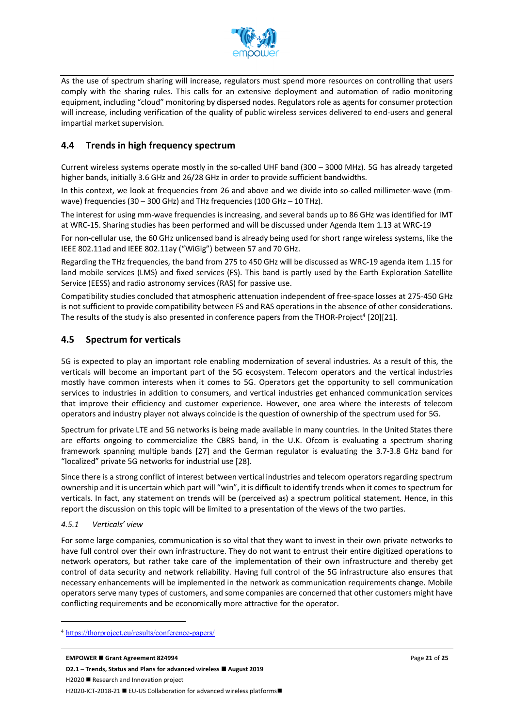

As the use of spectrum sharing will increase, regulators must spend more resources on controlling that users comply with the sharing rules. This calls for an extensive deployment and automation of radio monitoring equipment, including "cloud" monitoring by dispersed nodes. Regulators role as agents for consumer protection will increase, including verification of the quality of public wireless services delivered to end-users and general impartial market supervision.

#### **4.4 Trends in high frequency spectrum**

Current wireless systems operate mostly in the so-called UHF band (300 – 3000 MHz). 5G has already targeted higher bands, initially 3.6 GHz and 26/28 GHz in order to provide sufficient bandwidths.

In this context, we look at frequencies from 26 and above and we divide into so-called millimeter-wave (mmwave) frequencies (30 – 300 GHz) and THz frequencies (100 GHz – 10 THz).

The interest for using mm-wave frequencies is increasing, and several bands up to 86 GHz was identified for IMT at WRC-15. Sharing studies has been performed and will be discussed under Agenda Item 1.13 at WRC-19

For non-cellular use, the 60 GHz unlicensed band is already being used for short range wireless systems, like the IEEE 802.11ad and IEEE 802.11ay ("WiGig") between 57 and 70 GHz.

Regarding the THz frequencies, the band from 275 to 450 GHz will be discussed as WRC-19 agenda item 1.15 for land mobile services (LMS) and fixed services (FS). This band is partly used by the Earth Exploration Satellite Service (EESS) and radio astronomy services (RAS) for passive use.

Compatibility studies concluded that atmospheric attenuation independent of free-space losses at 275-450 GHz is not sufficient to provide compatibility between FS and RAS operations in the absence of other considerations. The results of the study is also presented in conference papers from the THOR-Project<sup>4</sup> [20][21].

#### **4.5 Spectrum for verticals**

5G is expected to play an important role enabling modernization of several industries. As a result of this, the verticals will become an important part of the 5G ecosystem. Telecom operators and the vertical industries mostly have common interests when it comes to 5G. Operators get the opportunity to sell communication services to industries in addition to consumers, and vertical industries get enhanced communication services that improve their efficiency and customer experience. However, one area where the interests of telecom operators and industry player not always coincide is the question of ownership of the spectrum used for 5G.

Spectrum for private LTE and 5G networks is being made available in many countries. In the United States there are efforts ongoing to commercialize the CBRS band, in the U.K. Ofcom is evaluating a spectrum sharing framework spanning multiple bands [27] and the German regulator is evaluating the 3.7-3.8 GHz band for "localized" private 5G networks for industrial use [28].

Since there is a strong conflict of interest between vertical industries and telecom operators regarding spectrum ownership and it is uncertain which part will "win", it is difficult to identify trends when it comes to spectrum for verticals. In fact, any statement on trends will be (perceived as) a spectrum political statement. Hence, in this report the discussion on this topic will be limited to a presentation of the views of the two parties.

#### *4.5.1 Verticals' view*

 $\overline{a}$ 

For some large companies, communication is so vital that they want to invest in their own private networks to have full control over their own infrastructure. They do not want to entrust their entire digitized operations to network operators, but rather take care of the implementation of their own infrastructure and thereby get control of data security and network reliability. Having full control of the 5G infrastructure also ensures that necessary enhancements will be implemented in the network as communication requirements change. Mobile operators serve many types of customers, and some companies are concerned that other customers might have conflicting requirements and be economically more attractive for the operator.

<sup>4</sup> https://thorproject.eu/results/conference-papers/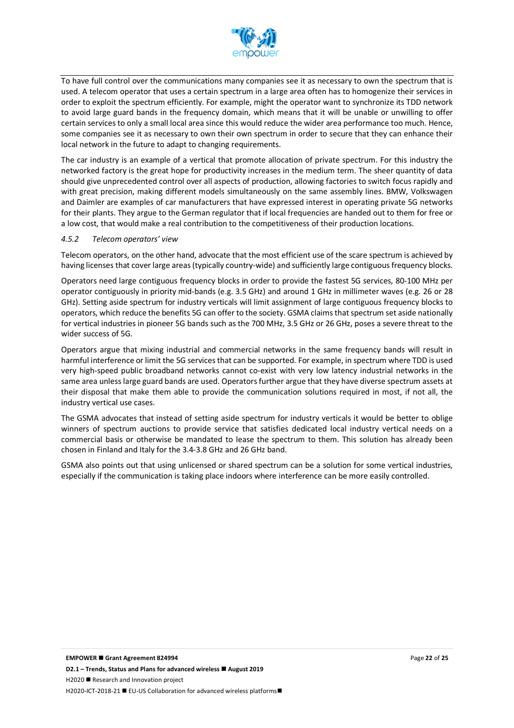

To have full control over the communications many companies see it as necessary to own the spectrum that is used. A telecom operator that uses a certain spectrum in a large area often has to homogenize their services in order to exploit the spectrum efficiently. For example, might the operator want to synchronize its TDD network to avoid large guard bands in the frequency domain, which means that it will be unable or unwilling to offer certain services to only a small local area since this would reduce the wider area performance too much. Hence, some companies see it as necessary to own their own spectrum in order to secure that they can enhance their local network in the future to adapt to changing requirements.

The car industry is an example of a vertical that promote allocation of private spectrum. For this industry the networked factory is the great hope for productivity increases in the medium term. The sheer quantity of data should give unprecedented control over all aspects of production, allowing factories to switch focus rapidly and with great precision, making different models simultaneously on the same assembly lines. BMW, Volkswagen and Daimler are examples of car manufacturers that have expressed interest in operating private 5G networks for their plants. They argue to the German regulator that if local frequencies are handed out to them for free or a low cost, that would make a real contribution to the competitiveness of their production locations.

#### *4.5.2 Telecom operators' view*

Telecom operators, on the other hand, advocate that the most efficient use of the scare spectrum is achieved by having licenses that cover large areas (typically country-wide) and sufficiently large contiguous frequency blocks.

Operators need large contiguous frequency blocks in order to provide the fastest 5G services, 80-100 MHz per operator contiguously in priority mid-bands (e.g. 3.5 GHz) and around 1 GHz in millimeter waves (e.g. 26 or 28 GHz). Setting aside spectrum for industry verticals will limit assignment of large contiguous frequency blocks to operators, which reduce the benefits 5G can offer to the society. GSMA claims that spectrum set aside nationally for vertical industries in pioneer 5G bands such as the 700 MHz, 3.5 GHz or 26 GHz, poses a severe threat to the wider success of 5G.

Operators argue that mixing industrial and commercial networks in the same frequency bands will result in harmful interference or limit the 5G services that can be supported. For example, in spectrum where TDD is used very high-speed public broadband networks cannot co-exist with very low latency industrial networks in the same area unless large guard bands are used. Operators further argue that they have diverse spectrum assets at their disposal that make them able to provide the communication solutions required in most, if not all, the industry vertical use cases.

The GSMA advocates that instead of setting aside spectrum for industry verticals it would be better to oblige winners of spectrum auctions to provide service that satisfies dedicated local industry vertical needs on a commercial basis or otherwise be mandated to lease the spectrum to them. This solution has already been chosen in Finland and Italy for the 3.4-3.8 GHz and 26 GHz band.

GSMA also points out that using unlicensed or shared spectrum can be a solution for some vertical industries, especially if the communication is taking place indoors where interference can be more easily controlled.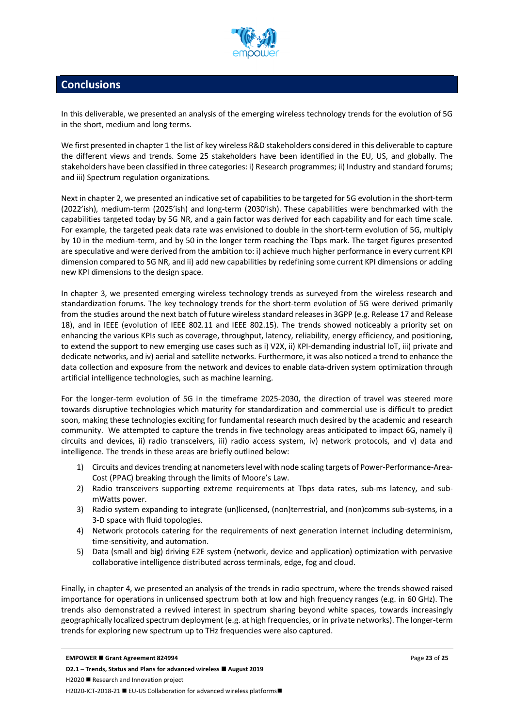

## **Conclusions**

In this deliverable, we presented an analysis of the emerging wireless technology trends for the evolution of 5G in the short, medium and long terms.

We first presented in chapter 1 the list of key wireless R&D stakeholders considered in this deliverable to capture the different views and trends. Some 25 stakeholders have been identified in the EU, US, and globally. The stakeholders have been classified in three categories: i) Research programmes; ii) Industry and standard forums; and iii) Spectrum regulation organizations.

Next in chapter 2, we presented an indicative set of capabilities to be targeted for 5G evolution in the short-term (2022'ish), medium-term (2025'ish) and long-term (2030'ish). These capabilities were benchmarked with the capabilities targeted today by 5G NR, and a gain factor was derived for each capability and for each time scale. For example, the targeted peak data rate was envisioned to double in the short-term evolution of 5G, multiply by 10 in the medium-term, and by 50 in the longer term reaching the Tbps mark. The target figures presented are speculative and were derived from the ambition to: i) achieve much higher performance in every current KPI dimension compared to 5G NR, and ii) add new capabilities by redefining some current KPI dimensions or adding new KPI dimensions to the design space.

In chapter 3, we presented emerging wireless technology trends as surveyed from the wireless research and standardization forums. The key technology trends for the short-term evolution of 5G were derived primarily from the studies around the next batch of future wireless standard releases in 3GPP (e.g. Release 17 and Release 18), and in IEEE (evolution of IEEE 802.11 and IEEE 802.15). The trends showed noticeably a priority set on enhancing the various KPIs such as coverage, throughput, latency, reliability, energy efficiency, and positioning, to extend the support to new emerging use cases such as i) V2X, ii) KPI-demanding industrial IoT, iii) private and dedicate networks, and iv) aerial and satellite networks. Furthermore, it was also noticed a trend to enhance the data collection and exposure from the network and devices to enable data-driven system optimization through artificial intelligence technologies, such as machine learning.

For the longer-term evolution of 5G in the timeframe 2025-2030, the direction of travel was steered more towards disruptive technologies which maturity for standardization and commercial use is difficult to predict soon, making these technologies exciting for fundamental research much desired by the academic and research community. We attempted to capture the trends in five technology areas anticipated to impact 6G, namely i) circuits and devices, ii) radio transceivers, iii) radio access system, iv) network protocols, and v) data and intelligence. The trends in these areas are briefly outlined below:

- 1) Circuits and devices trending at nanometers level with node scaling targets of Power-Performance-Area-Cost (PPAC) breaking through the limits of Moore's Law.
- 2) Radio transceivers supporting extreme requirements at Tbps data rates, sub-ms latency, and submWatts power.
- 3) Radio system expanding to integrate (un)licensed, (non)terrestrial, and (non)comms sub-systems, in a 3-D space with fluid topologies.
- 4) Network protocols catering for the requirements of next generation internet including determinism, time-sensitivity, and automation.
- 5) Data (small and big) driving E2E system (network, device and application) optimization with pervasive collaborative intelligence distributed across terminals, edge, fog and cloud.

Finally, in chapter 4, we presented an analysis of the trends in radio spectrum, where the trends showed raised importance for operations in unlicensed spectrum both at low and high frequency ranges (e.g. in 60 GHz). The trends also demonstrated a revived interest in spectrum sharing beyond white spaces, towards increasingly geographically localized spectrum deployment (e.g. at high frequencies, or in private networks). The longer-term trends for exploring new spectrum up to THz frequencies were also captured.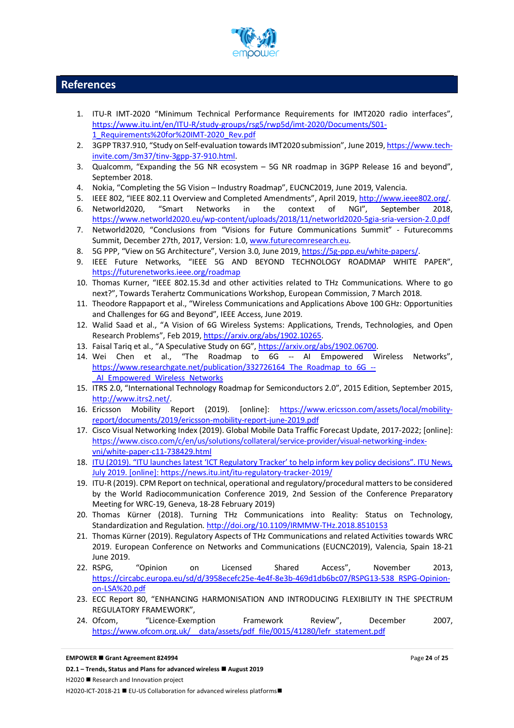

### **References**

- 1. ITU-R IMT-2020 "Minimum Technical Performance Requirements for IMT2020 radio interfaces", https://www.itu.int/en/ITU-R/study-groups/rsg5/rwp5d/imt-2020/Documents/S01- 1\_Requirements%20for%20IMT-2020\_Rev.pdf
- 2. 3GPP TR37.910, "Study on Self-evaluation towards IMT2020 submission", June 2019, https://www.techinvite.com/3m37/tinv-3gpp-37-910.html.
- 3. Qualcomm, "Expanding the 5G NR ecosystem 5G NR roadmap in 3GPP Release 16 and beyond", September 2018.
- 4. Nokia, "Completing the 5G Vision Industry Roadmap", EUCNC2019, June 2019, Valencia.
- 5. IEEE 802, "IEEE 802.11 Overview and Completed Amendments", April 2019, http://www.ieee802.org/. 6. Networld2020, "Smart Networks in the context of NGI", September 2018, https://www.networld2020.eu/wp-content/uploads/2018/11/networld2020-5gia-sria-version-2.0.pdf
- 7. Networld2020, "Conclusions from "Visions for Future Communications Summit" Futurecomms Summit, December 27th, 2017, Version: 1.0, www.futurecomresearch.eu.
- 8. 5G PPP, "View on 5G Architecture", Version 3.0, June 2019, https://5g-ppp.eu/white-papers/.
- 9. IEEE Future Networks, "IEEE 5G AND BEYOND TECHNOLOGY ROADMAP WHITE PAPER", https://futurenetworks.ieee.org/roadmap
- 10. Thomas Kurner, "IEEE 802.15.3d and other activities related to THz Communications. Where to go next?", Towards Terahertz Communications Workshop, European Commission, 7 March 2018.
- 11. Theodore Rappaport et al., "Wireless Communications and Applications Above 100 GHz: Opportunities and Challenges for 6G and Beyond", IEEE Access, June 2019.
- 12. Walid Saad et al., "A Vision of 6G Wireless Systems: Applications, Trends, Technologies, and Open Research Problems", Feb 2019, https://arxiv.org/abs/1902.10265.
- 13. Faisal Tariq et al., "A Speculative Study on 6G", https://arxiv.org/abs/1902.06700.
- 14. Wei Chen et al., "The Roadmap to 6G -- AI Empowered Wireless Networks", https://www.researchgate.net/publication/332726164 The Roadmap to 6G --AI\_Empowered\_Wireless\_Networks
- 15. ITRS 2.0, "International Technology Roadmap for Semiconductors 2.0", 2015 Edition, September 2015, http://www.itrs2.net/.
- 16. Ericsson Mobility Report (2019). [online]: https://www.ericsson.com/assets/local/mobilityreport/documents/2019/ericsson-mobility-report-june-2019.pdf
- 17. Cisco Visual Networking Index (2019). Global Mobile Data Traffic Forecast Update, 2017-2022; [online]: https://www.cisco.com/c/en/us/solutions/collateral/service-provider/visual-networking-indexvni/white-paper-c11-738429.html
- 18. ITU (2019). "ITU launches latest 'ICT Regulatory Tracker' to help inform key policy decisions". ITU News, July 2019. [online]: https://news.itu.int/itu-regulatory-tracker-2019/
- 19. ITU-R (2019). CPM Report on technical, operational and regulatory/procedural matters to be considered by the World Radiocommunication Conference 2019, 2nd Session of the Conference Preparatory Meeting for WRC-19, Geneva, 18-28 February 2019)
- 20. Thomas Kürner (2018). Turning THz Communications into Reality: Status on Technology, Standardization and Regulation. http://doi.org/10.1109/IRMMW-THz.2018.8510153
- 21. Thomas Kürner (2019). Regulatory Aspects of THz Communications and related Activities towards WRC 2019. European Conference on Networks and Communications (EUCNC2019), Valencia, Spain 18-21 June 2019.
- 22. RSPG, "Opinion on Licensed Shared Access", November 2013, https://circabc.europa.eu/sd/d/3958ecefc25e-4e4f-8e3b-469d1db6bc07/RSPG13-538\_RSPG-Opinionon-LSA%20.pdf
- 23. ECC Report 80, "ENHANCING HARMONISATION AND INTRODUCING FLEXIBILITY IN THE SPECTRUM REGULATORY FRAMEWORK",
- 24. Ofcom, "Licence-Exemption Framework Review", December 2007, https://www.ofcom.org.uk/ data/assets/pdf file/0015/41280/lefr statement.pdf

#### **EMPOWER ■ Grant Agreement 824994**